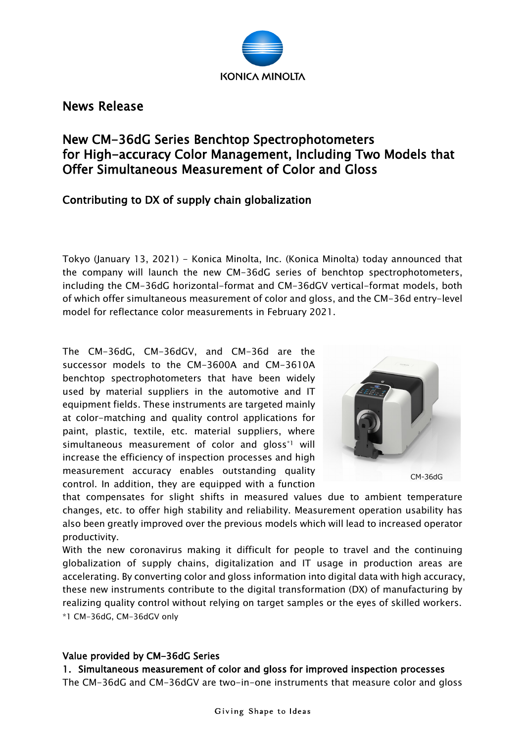

News Release

# New CM-36dG Series Benchtop Spectrophotometers for High-accuracy Color Management, Including Two Models that Offer Simultaneous Measurement of Color and Gloss

## Contributing to DX of supply chain globalization

Tokyo (January 13, 2021) - Konica Minolta, Inc. (Konica Minolta) today announced that the company will launch the new CM-36dG series of benchtop spectrophotometers, including the CM-36dG horizontal-format and CM-36dGV vertical-format models, both of which offer simultaneous measurement of color and gloss, and the CM-36d entry-level model for reflectance color measurements in February 2021.

The CM-36dG, CM-36dGV, and CM-36d are the successor models to the CM-3600A and CM-3610A benchtop spectrophotometers that have been widely used by material suppliers in the automotive and IT equipment fields. These instruments are targeted mainly at color-matching and quality control applications for paint, plastic, textile, etc. material suppliers, where simultaneous measurement of color and gloss<sup>\*1</sup> will increase the efficiency of inspection processes and high measurement accuracy enables outstanding quality control. In addition, they are equipped with a function



CM-36dG

that compensates for slight shifts in measured values due to ambient temperature changes, etc. to offer high stability and reliability. Measurement operation usability has also been greatly improved over the previous models which will lead to increased operator productivity.

With the new coronavirus making it difficult for people to travel and the continuing globalization of supply chains, digitalization and IT usage in production areas are accelerating. By converting color and gloss information into digital data with high accuracy, these new instruments contribute to the digital transformation (DX) of manufacturing by realizing quality control without relying on target samples or the eyes of skilled workers. \*1 CM-36dG, CM-36dGV only

#### Value provided by CM-36dG Series

1. Simultaneous measurement of color and gloss for improved inspection processes The CM-36dG and CM-36dGV are two-in-one instruments that measure color and gloss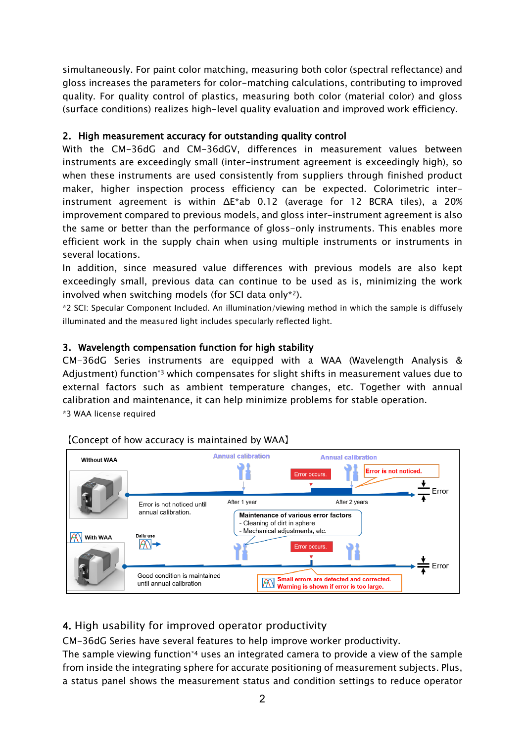simultaneously. For paint color matching, measuring both color (spectral reflectance) and gloss increases the parameters for color-matching calculations, contributing to improved quality. For quality control of plastics, measuring both color (material color) and gloss (surface conditions) realizes high-level quality evaluation and improved work efficiency.

#### 2. High measurement accuracy for outstanding quality control

With the CM-36dG and CM-36dGV, differences in measurement values between instruments are exceedingly small (inter-instrument agreement is exceedingly high), so when these instruments are used consistently from suppliers through finished product maker, higher inspection process efficiency can be expected. Colorimetric interinstrument agreement is within ΔE\*ab 0.12 (average for 12 BCRA tiles), a 20% improvement compared to previous models, and gloss inter-instrument agreement is also the same or better than the performance of gloss-only instruments. This enables more efficient work in the supply chain when using multiple instruments or instruments in several locations.

In addition, since measured value differences with previous models are also kept exceedingly small, previous data can continue to be used as is, minimizing the work involved when switching models (for SCI data only\*2).

\*2 SCI: Specular Component Included. An illumination/viewing method in which the sample is diffusely illuminated and the measured light includes specularly reflected light.

### 3. Wavelength compensation function for high stability

CM-36dG Series instruments are equipped with a WAA (Wavelength Analysis & Adjustment) function\*3 which compensates for slight shifts in measurement values due to external factors such as ambient temperature changes, etc. Together with annual calibration and maintenance, it can help minimize problems for stable operation. \*3 WAA license required



### 【Concept of how accuracy is maintained by WAA】

## 4. High usability for improved operator productivity

CM-36dG Series have several features to help improve worker productivity.

The sample viewing function<sup>\*4</sup> uses an integrated camera to provide a view of the sample from inside the integrating sphere for accurate positioning of measurement subjects. Plus, a status panel shows the measurement status and condition settings to reduce operator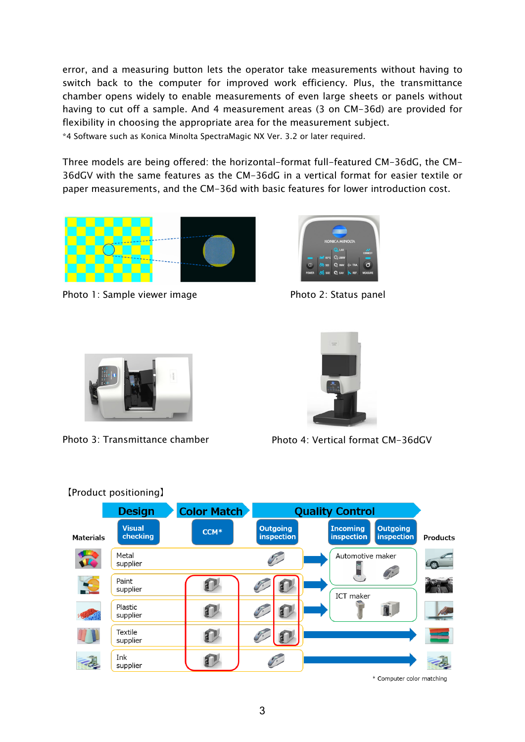error, and a measuring button lets the operator take measurements without having to switch back to the computer for improved work efficiency. Plus, the transmittance chamber opens widely to enable measurements of even large sheets or panels without having to cut off a sample. And 4 measurement areas (3 on CM-36d) are provided for flexibility in choosing the appropriate area for the measurement subject. \*4 Software such as Konica Minolta SpectraMagic NX Ver. 3.2 or later required.

Three models are being offered: the horizontal-format full-featured CM-36dG, the CM-36dGV with the same features as the CM-36dG in a vertical format for easier textile or paper measurements, and the CM-36d with basic features for lower introduction cost.



Photo 1: Sample viewer image The Photo 2: Status panel







Photo 3: Transmittance chamber Photo 4: Vertical format CM-36dGV



\* Computer color matching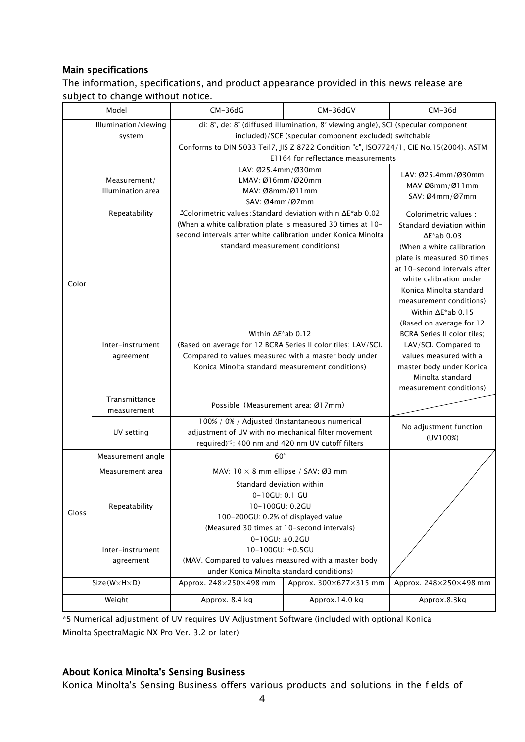#### Main specifications

The information, specifications, and product appearance provided in this news release are subject to change without notice.

|                             | Model                                            | $CM-36dG$                                                                                               | CM-36dGV               | $CM-36d$                                       |
|-----------------------------|--------------------------------------------------|---------------------------------------------------------------------------------------------------------|------------------------|------------------------------------------------|
|                             | Illumination/viewing                             | di: 8°, de: 8° (diffused illumination, 8° viewing angle), SCI (specular component                       |                        |                                                |
|                             | system                                           | included)/SCE (specular component excluded) switchable                                                  |                        |                                                |
|                             |                                                  | Conforms to DIN 5033 Teil7, JIS Z 8722 Condition "c", ISO7724/1, CIE No.15(2004). ASTM                  |                        |                                                |
|                             |                                                  | E1164 for reflectance measurements                                                                      |                        |                                                |
|                             |                                                  | LAV: Ø25.4mm/Ø30mm                                                                                      |                        | LAV: Ø25.4mm/Ø30mm                             |
|                             | Measurement/                                     | LMAV: Ø16mm/Ø20mm                                                                                       |                        | MAV Ø8mm/Ø11mm                                 |
|                             | Illumination area                                | MAV: Ø8mm/Ø11mm                                                                                         |                        | SAV: Ø4mm/Ø7mm                                 |
|                             |                                                  | SAV: Ø4mm/Ø7mm                                                                                          |                        |                                                |
|                             | Repeatability                                    | "Colorimetric values: Standard deviation within ΔΕ*ab 0.02                                              |                        | Colorimetric values :                          |
|                             |                                                  | (When a white calibration plate is measured 30 times at 10-                                             |                        | Standard deviation within                      |
|                             |                                                  | second intervals after white calibration under Konica Minolta                                           |                        | $\Delta$ E*ab 0.03                             |
|                             |                                                  | standard measurement conditions)                                                                        |                        | (When a white calibration                      |
|                             |                                                  |                                                                                                         |                        | plate is measured 30 times                     |
|                             |                                                  |                                                                                                         |                        | at 10-second intervals after                   |
| Color                       |                                                  |                                                                                                         |                        | white calibration under                        |
|                             |                                                  |                                                                                                         |                        | Konica Minolta standard                        |
|                             |                                                  |                                                                                                         |                        | measurement conditions)                        |
|                             |                                                  |                                                                                                         |                        | Within $\Delta E^*$ ab 0.15                    |
|                             |                                                  | Within $\Delta E^*$ ab 0.12<br>(Based on average for 12 BCRA Series II color tiles; LAV/SCI.            |                        | (Based on average for 12                       |
|                             | Inter-instrument                                 |                                                                                                         |                        | <b>BCRA Series II color tiles:</b>             |
|                             |                                                  |                                                                                                         |                        | LAV/SCI. Compared to<br>values measured with a |
|                             | agreement                                        | Compared to values measured with a master body under<br>Konica Minolta standard measurement conditions) |                        | master body under Konica                       |
|                             |                                                  |                                                                                                         |                        | Minolta standard                               |
|                             |                                                  |                                                                                                         |                        | measurement conditions)                        |
|                             | Transmittance                                    |                                                                                                         |                        |                                                |
|                             | measurement                                      | Possible (Measurement area: Ø17mm)                                                                      |                        |                                                |
|                             |                                                  | 100% / 0% / Adjusted (Instantaneous numerical                                                           |                        |                                                |
|                             | UV setting                                       | adjustment of UV with no mechanical filter movement                                                     |                        | No adjustment function                         |
|                             | required)*5; 400 nm and 420 nm UV cutoff filters |                                                                                                         |                        | (UV100%)                                       |
| Gloss                       | Measurement angle                                | $60^\circ$                                                                                              |                        |                                                |
|                             | Measurement area                                 | MAV: $10 \times 8$ mm ellipse / SAV: Ø3 mm                                                              |                        |                                                |
|                             |                                                  | Standard deviation within                                                                               |                        |                                                |
|                             |                                                  | 0-10GU: 0.1 GU                                                                                          |                        |                                                |
|                             | Repeatability                                    | 10-100GU: 0.2GU                                                                                         |                        |                                                |
|                             |                                                  | 100-200GU: 0.2% of displayed value                                                                      |                        |                                                |
|                             |                                                  | (Measured 30 times at 10-second intervals)                                                              |                        |                                                |
|                             |                                                  | $0 - 10GU: \pm 0.2GU$                                                                                   |                        |                                                |
|                             | Inter-instrument                                 | $10-100GU: \pm 0.5GU$                                                                                   |                        |                                                |
|                             | agreement                                        | (MAV. Compared to values measured with a master body<br>under Konica Minolta standard conditions)       |                        |                                                |
| $Size(W \times H \times D)$ |                                                  |                                                                                                         |                        | Approx. 248×250×498 mm                         |
|                             |                                                  | Approx. 248×250×498 mm                                                                                  | Approx. 300×677×315 mm |                                                |
| Weight                      |                                                  | Approx. 8.4 kg                                                                                          | Approx.14.0 kg         | Approx.8.3kg                                   |
|                             |                                                  |                                                                                                         |                        |                                                |

\*5 Numerical adjustment of UV requires UV Adjustment Software (included with optional Konica Minolta SpectraMagic NX Pro Ver. 3.2 or later)

#### About Konica Minolta's Sensing Business

Konica Minolta's Sensing Business offers various products and solutions in the fields of